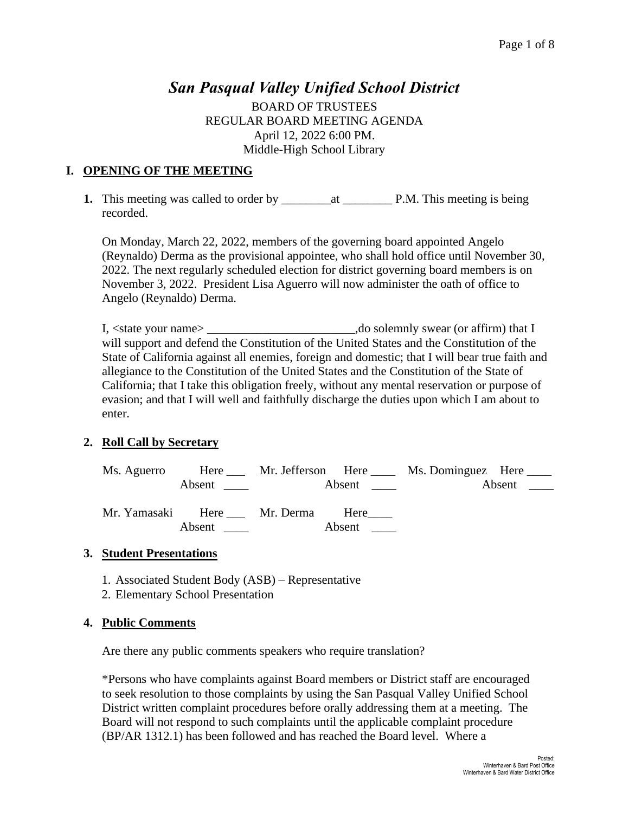# *San Pasqual Valley Unified School District*

BOARD OF TRUSTEES REGULAR BOARD MEETING AGENDA April 12, 2022 6:00 PM. Middle-High School Library

# **I. OPENING OF THE MEETING**

**1.** This meeting was called to order by  $\qquad$  at  $\qquad$  P.M. This meeting is being recorded.

On Monday, March 22, 2022, members of the governing board appointed Angelo (Reynaldo) Derma as the provisional appointee, who shall hold office until November 30, 2022. The next regularly scheduled election for district governing board members is on November 3, 2022. President Lisa Aguerro will now administer the oath of office to Angelo (Reynaldo) Derma.

I, <state your name> \_\_\_\_\_\_\_\_\_\_\_\_\_\_\_\_\_\_\_\_\_\_\_\_,do solemnly swear (or affirm) that I will support and defend the Constitution of the United States and the Constitution of the State of California against all enemies, foreign and domestic; that I will bear true faith and allegiance to the Constitution of the United States and the Constitution of the State of California; that I take this obligation freely, without any mental reservation or purpose of evasion; and that I will well and faithfully discharge the duties upon which I am about to enter.

# **2. Roll Call by Secretary**

| Ms. Aguerro |                                            |                               | Here Mr. Jefferson Here Ms. Dominguez Here |                 |
|-------------|--------------------------------------------|-------------------------------|--------------------------------------------|-----------------|
|             |                                            | Absent $\qquad \qquad \qquad$ |                                            | Absent $\qquad$ |
|             | Mr. Yamasaki Here Mr. Derma Here<br>Absent | Absent                        |                                            |                 |

# **3. Student Presentations**

- 1. Associated Student Body (ASB) Representative
- 2. Elementary School Presentation

# **4. Public Comments**

Are there any public comments speakers who require translation?

\*Persons who have complaints against Board members or District staff are encouraged to seek resolution to those complaints by using the San Pasqual Valley Unified School District written complaint procedures before orally addressing them at a meeting. The Board will not respond to such complaints until the applicable complaint procedure (BP/AR 1312.1) has been followed and has reached the Board level. Where a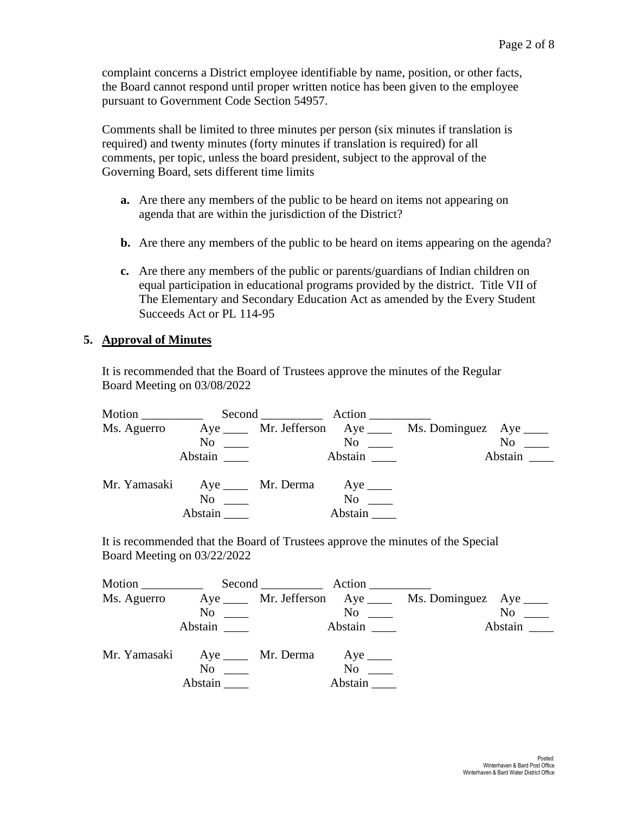complaint concerns a District employee identifiable by name, position, or other facts, the Board cannot respond until proper written notice has been given to the employee pursuant to Government Code Section 54957.

Comments shall be limited to three minutes per person (six minutes if translation is required) and twenty minutes (forty minutes if translation is required) for all comments, per topic, unless the board president, subject to the approval of the Governing Board, sets different time limits

- **a.** Are there any members of the public to be heard on items not appearing on agenda that are within the jurisdiction of the District?
- **b.** Are there any members of the public to be heard on items appearing on the agenda?
- **c.** Are there any members of the public or parents/guardians of Indian children on equal participation in educational programs provided by the district. Title VII of The Elementary and Secondary Education Act as amended by the Every Student Succeeds Act or PL 114-95

#### **5. Approval of Minutes**

It is recommended that the Board of Trustees approve the minutes of the Regular Board Meeting on 03/08/2022

| Motion $\frac{1}{\sqrt{1-\frac{1}{2}}\cdot\frac{1}{\sqrt{1-\frac{1}{2}}}}$ |                                          | Second Action        |                                                            |                  |
|----------------------------------------------------------------------------|------------------------------------------|----------------------|------------------------------------------------------------|------------------|
| Ms. Aguerro                                                                |                                          |                      | Aye ______ Mr. Jefferson Aye _____ Ms. Dominguez Aye _____ |                  |
|                                                                            |                                          | $\mathrm{No}$ $\_\_$ |                                                            | N <sub>0</sub>   |
|                                                                            | Abstain                                  | Abstain              |                                                            | Abstain $\qquad$ |
|                                                                            | Mr. Yamasaki Aye ____ Mr. Derma Aye ____ |                      |                                                            |                  |
|                                                                            | N <sub>0</sub>                           | $\rm No$             |                                                            |                  |
|                                                                            | Abstain                                  | Abstain              |                                                            |                  |

It is recommended that the Board of Trustees approve the minutes of the Special Board Meeting on 03/22/2022

|             |                                          | Second Action |                                                            |                     |
|-------------|------------------------------------------|---------------|------------------------------------------------------------|---------------------|
| Ms. Aguerro |                                          |               | Aye ______ Mr. Jefferson Aye _____ Ms. Dominguez Aye _____ |                     |
|             | $\mathrm{No} \quad \underline{\qquad}$   | $No \ \_$     |                                                            | $No \_\_$           |
|             | Abstain                                  | Abstain       |                                                            | Abstain $\_\_\_\_\$ |
|             | Mr. Yamasaki Aye ____ Mr. Derma Aye ____ |               |                                                            |                     |
|             | N <sub>0</sub>                           | $\rm No$      |                                                            |                     |
|             | Abstain                                  | Abstain       |                                                            |                     |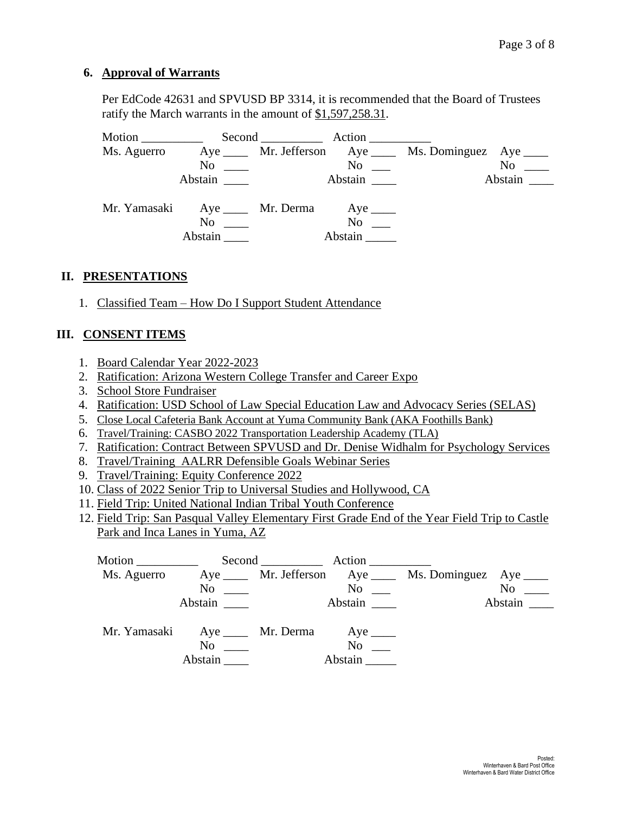#### **6. Approval of Warrants**

Per EdCode 42631 and SPVUSD BP 3314, it is recommended that the Board of Trustees ratify the March warrants in the amount of \$1,597,258.31.

| Motion      |                                                                                                  | Second Action        |                                                            |
|-------------|--------------------------------------------------------------------------------------------------|----------------------|------------------------------------------------------------|
| Ms. Aguerro |                                                                                                  |                      | Aye ______ Mr. Jefferson Aye _____ Ms. Dominguez Aye _____ |
|             | $No \ \_$                                                                                        | $\rm No$             | $No \ \_$                                                  |
|             | Abstain                                                                                          | Abstain              | Abstain                                                    |
|             | Mr. Yamasaki Aye ____ Mr. Derma Aye ____<br>$\overline{N_0}$ $\overline{\phantom{0}}$<br>Abstain | $No \t —$<br>Abstain |                                                            |

#### **II. PRESENTATIONS**

1. Classified Team – How Do I Support Student Attendance

# **III. CONSENT ITEMS**

- 1. Board Calendar Year 2022-2023
- 2. Ratification: Arizona Western College Transfer and Career Expo
- 3. School Store Fundraiser
- 4. Ratification: USD School of Law Special Education Law and Advocacy Series (SELAS)
- 5. Close Local Cafeteria Bank Account at Yuma Community Bank (AKA Foothills Bank)
- 6. Travel/Training: CASBO 2022 Transportation Leadership Academy (TLA)
- 7. Ratification: Contract Between SPVUSD and Dr. Denise Widhalm for Psychology Services
- 8. Travel/Training AALRR Defensible Goals Webinar Series
- 9. Travel/Training: Equity Conference 2022
- 10. Class of 2022 Senior Trip to Universal Studies and Hollywood, CA
- 11. Field Trip: United National Indian Tribal Youth Conference
- 12. Field Trip: San Pasqual Valley Elementary First Grade End of the Year Field Trip to Castle Park and Inca Lanes in Yuma, AZ

| Motion ____________ |                                          |                                             |                      |                                                         |                  |
|---------------------|------------------------------------------|---------------------------------------------|----------------------|---------------------------------------------------------|------------------|
| Ms. Aguerro         |                                          |                                             |                      | Aye _____ Mr. Jefferson Aye ____ Ms. Dominguez Aye ____ |                  |
|                     |                                          | $\overline{\text{No}}$ $\overline{\text{}}$ | $\mathrm{No}$ $\_\_$ |                                                         | $No \_\_$        |
|                     | Abstain                                  |                                             |                      |                                                         | Abstain $\qquad$ |
|                     | Mr. Yamasaki Aye ____ Mr. Derma Aye ____ |                                             |                      |                                                         |                  |
|                     | $\mathbf{No}$                            |                                             | $No \t —$            |                                                         |                  |
|                     | Abstain                                  |                                             | Abstain              |                                                         |                  |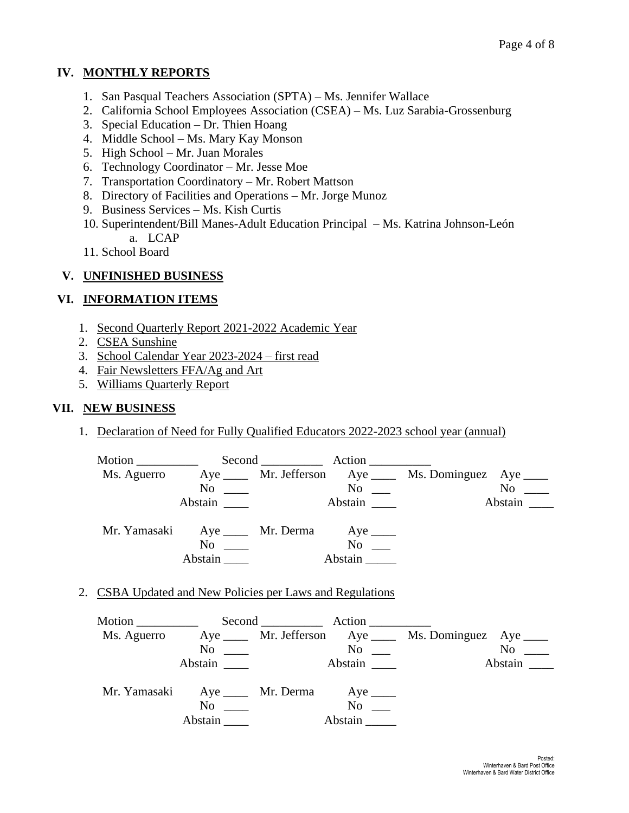# **IV. MONTHLY REPORTS**

- 1. San Pasqual Teachers Association (SPTA) Ms. Jennifer Wallace
- 2. California School Employees Association (CSEA) Ms. Luz Sarabia-Grossenburg
- 3. Special Education Dr. Thien Hoang
- 4. Middle School Ms. Mary Kay Monson
- 5. High School Mr. Juan Morales
- 6. Technology Coordinator Mr. Jesse Moe
- 7. Transportation Coordinatory Mr. Robert Mattson
- 8. Directory of Facilities and Operations Mr. Jorge Munoz
- 9. Business Services Ms. Kish Curtis
- 10. Superintendent/Bill Manes-Adult Education Principal Ms. Katrina Johnson-León a. LCAP
- 11. School Board

# **V. UNFINISHED BUSINESS**

# **VI. INFORMATION ITEMS**

- 1. Second Quarterly Report 2021-2022 Academic Year
- 2. CSEA Sunshine
- 3. School Calendar Year 2023-2024 first read
- 4. Fair Newsletters FFA/Ag and Art
- 5. Williams Quarterly Report

#### **VII. NEW BUSINESS**

1. Declaration of Need for Fully Qualified Educators 2022-2023 school year (annual)

| Motion $\frac{\ }{\ }$                   |         | Second Action        |                                                         |           |
|------------------------------------------|---------|----------------------|---------------------------------------------------------|-----------|
| Ms. Aguerro                              |         |                      | Aye _____ Mr. Jefferson Aye ____ Ms. Dominguez Aye ____ |           |
|                                          |         | $\mathrm{No}$ $\_\_$ |                                                         | $No \ \_$ |
|                                          | Abstain | Abstain              |                                                         | Abstain   |
| Mr. Yamasaki Aye ____ Mr. Derma Aye ____ |         |                      |                                                         |           |
|                                          | No      | $No \t —$            |                                                         |           |
|                                          | Abstain | Abstain              |                                                         |           |

2. CSBA Updated and New Policies per Laws and Regulations

| Motion $\frac{\ }{\ }$ |                                                      |                               | Second Action        |                                                                      |
|------------------------|------------------------------------------------------|-------------------------------|----------------------|----------------------------------------------------------------------|
|                        |                                                      |                               |                      | Ms. Aguerro Aye _____ Mr. Jefferson Aye _____ Ms. Dominguez Aye ____ |
|                        |                                                      | $\overline{N}$ $\overline{N}$ | $\mathrm{No}$ $\_\_$ | $No \_\_$                                                            |
|                        | Abstain                                              |                               | Abstain              | Abstain $\qquad$                                                     |
|                        | Mr. Yamasaki Aye ____ Mr. Derma Aye ____<br>$\rm No$ |                               | $No \t —$            |                                                                      |
|                        | Abstain                                              |                               | Abstain              |                                                                      |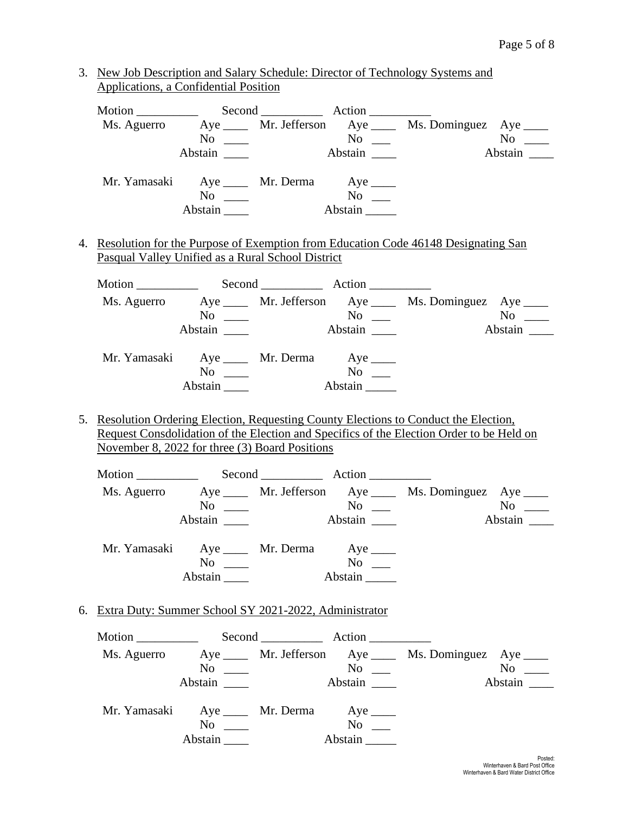3. New Job Description and Salary Schedule: Director of Technology Systems and Applications, a Confidential Position

|                                                   |                                          |          | Ms. Aguerro Aye _____ Mr. Jefferson Aye _____ Ms. Dominguez Aye ____ |                  |
|---------------------------------------------------|------------------------------------------|----------|----------------------------------------------------------------------|------------------|
|                                                   | $No \_\_$                                |          | $No$ No $No$ No $No$                                                 |                  |
|                                                   | Abstain _______                          | Abstain  |                                                                      | Abstain $\equiv$ |
|                                                   | Mr. Yamasaki Aye ____ Mr. Derma Aye ____ |          |                                                                      |                  |
|                                                   | $No \t —$                                |          |                                                                      |                  |
|                                                   | Abstain                                  | Abstain  |                                                                      |                  |
| Pasqual Valley Unified as a Rural School District |                                          |          |                                                                      |                  |
|                                                   |                                          |          | Ms. Aguerro Aye ____ Mr. Jefferson Aye ____ Ms. Dominguez Aye ____   |                  |
|                                                   | $No \_\_$                                | $No$ ___ |                                                                      |                  |
|                                                   | Abstain                                  | Abstain  |                                                                      | Abstain          |
|                                                   | Mr. Yamasaki Aye ____ Mr. Derma Aye ____ |          |                                                                      |                  |
|                                                   | $No \ \_$                                |          |                                                                      |                  |
|                                                   | Abstain Abstain                          |          |                                                                      |                  |

5. Resolution Ordering Election, Requesting County Elections to Conduct the Election, Request Consdolidation of the Election and Specifics of the Election Order to be Held on November 8, 2022 for three (3) Board Positions

Abstain \_\_\_\_ Abstain \_\_\_\_\_

| Motion $\frac{1}{\sqrt{1-\frac{1}{2}}\cdot\frac{1}{\sqrt{1-\frac{1}{2}}}}$ |                                          | Second Action        |                                                        |                  |
|----------------------------------------------------------------------------|------------------------------------------|----------------------|--------------------------------------------------------|------------------|
| Ms. Aguerro                                                                |                                          |                      | Aye ____ Mr. Jefferson Aye ____ Ms. Dominguez Aye ____ |                  |
|                                                                            | $No \ \_$                                | $\mathrm{No}$ $\_\_$ |                                                        | $No \t —$        |
|                                                                            | Abstain                                  | Abstain              |                                                        | Abstain $\qquad$ |
|                                                                            | Mr. Yamasaki Aye ____ Mr. Derma Aye ____ |                      |                                                        |                  |
|                                                                            | No                                       | $No \t —$            |                                                        |                  |
|                                                                            | Abstain                                  | Abstain              |                                                        |                  |

6. Extra Duty: Summer School SY 2021-2022, Administrator

|                                          |                                 | Second Action                |                                                         |                      |
|------------------------------------------|---------------------------------|------------------------------|---------------------------------------------------------|----------------------|
| Ms. Aguerro                              | $No \ \_$<br>Abstain            | $\rm No$ $\qquad$<br>Abstain | Aye _____ Mr. Jefferson Aye ____ Ms. Dominguez Aye ____ | $No \ \_$<br>Abstain |
| Mr. Yamasaki Aye ____ Mr. Derma Aye ____ | $\mathrm{No}$ $\_\_$<br>Abstain | $No \t —$<br>Abstain         |                                                         |                      |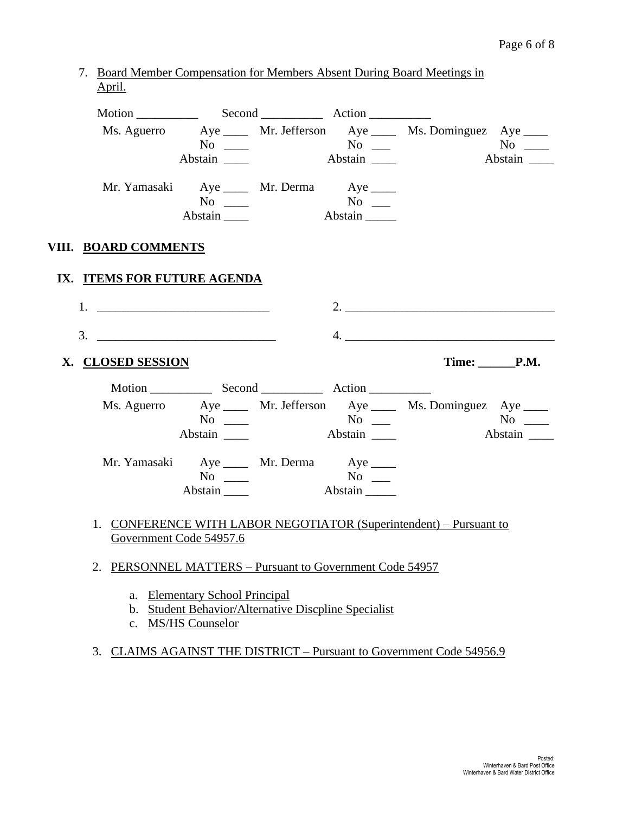7. Board Member Compensation for Members Absent During Board Meetings in April.

|                             | Abstain                                                          |         | Ms. Aguerro Aye _____ Mr. Jefferson Aye _____ Ms. Dominguez Aye ____<br>Abstain                                                |  |
|-----------------------------|------------------------------------------------------------------|---------|--------------------------------------------------------------------------------------------------------------------------------|--|
|                             | Mr. Yamasaki Aye ____ Mr. Derma Aye ____<br>$No \ \_$<br>Abstain |         |                                                                                                                                |  |
| VIII. BOARD COMMENTS        |                                                                  |         |                                                                                                                                |  |
| IX. ITEMS FOR FUTURE AGENDA |                                                                  |         |                                                                                                                                |  |
|                             |                                                                  |         |                                                                                                                                |  |
| 3.                          |                                                                  |         | 4. $\overline{\phantom{a}}$                                                                                                    |  |
|                             |                                                                  |         |                                                                                                                                |  |
| X. CLOSED SESSION           |                                                                  |         | Time: P.M.                                                                                                                     |  |
|                             |                                                                  |         |                                                                                                                                |  |
|                             | Abstain                                                          |         | Ms. Aguerro Aye _____ Mr. Jefferson Aye _____ Ms. Dominguez Aye ____<br>$\overline{N_0}$ $\overline{\phantom{N_0}}$<br>Abstain |  |
|                             | Mr. Yamasaki Aye ____ Mr. Derma Aye ____<br>$No \ \_$<br>Abstain | Abstain |                                                                                                                                |  |
|                             | Government Code 54957.6                                          |         | 1. CONFERENCE WITH LABOR NEGOTIATOR (Superintendent) – Pursuant to                                                             |  |

- a. Elementary School Principal
- b. Student Behavior/Alternative Discpline Specialist
- c. MS/HS Counselor
- 3. CLAIMS AGAINST THE DISTRICT Pursuant to Government Code 54956.9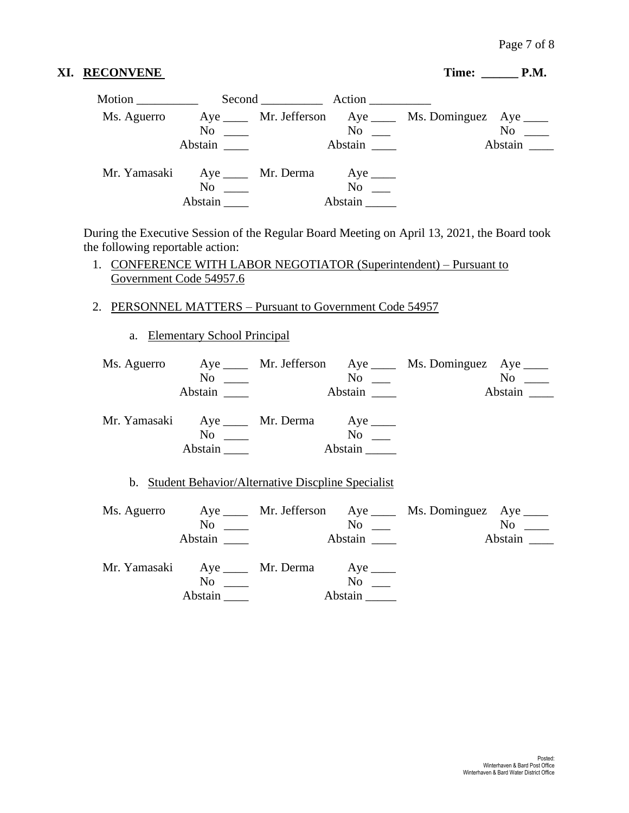# XI. RECONVENE Time: \_\_\_\_\_\_ P.M.

| Motion      |                                          | Second Action        |                                                            |                  |
|-------------|------------------------------------------|----------------------|------------------------------------------------------------|------------------|
| Ms. Aguerro |                                          |                      | Aye ______ Mr. Jefferson Aye _____ Ms. Dominguez Aye _____ |                  |
|             | $\mathrm{No} \ \_\_\_\$                  | $\mathrm{No}$ $\_\_$ |                                                            | $No \ \_$        |
|             | Abstain                                  | Abstain              |                                                            | Abstain $\qquad$ |
|             | Mr. Yamasaki Aye ____ Mr. Derma Aye ____ |                      |                                                            |                  |
|             | $\mathrm{No} \quad \underline{\qquad}$   | $No \t —$            |                                                            |                  |
|             | Abstain                                  | Abstain              |                                                            |                  |

During the Executive Session of the Regular Board Meeting on April 13, 2021, the Board took the following reportable action:

- 1. CONFERENCE WITH LABOR NEGOTIATOR (Superintendent) Pursuant to Government Code 54957.6
- 2. PERSONNEL MATTERS Pursuant to Government Code 54957
	- a. Elementary School Principal

| $No \ \_$                                             |                                   | Ms. Aguerro Aye ____ Mr. Jefferson Aye ____ Ms. Dominguez Aye ____ |         |
|-------------------------------------------------------|-----------------------------------|--------------------------------------------------------------------|---------|
| Abstain                                               |                                   |                                                                    | Abstain |
| Mr. Yamasaki Aye ____ Mr. Derma Aye ____<br>$No \ \_$ |                                   |                                                                    |         |
| Abstain                                               | Abstain                           |                                                                    |         |
| b. Student Behavior/Alternative Discoline Specialist  |                                   |                                                                    |         |
| $No \t —$                                             | $No$ ___                          | Ms. Aguerro Aye ____ Mr. Jefferson Aye ____ Ms. Dominguez Aye ____ |         |
| Abstain                                               | <b>Abstain</b>                    |                                                                    | Abstain |
| Mr. Yamasaki Aye ____ Mr. Derma Aye ____              |                                   |                                                                    |         |
| $No \ \_$<br>Abstain $\_\_\_\_\_\$                    | $\mathbf{N}\mathbf{o}$<br>Abstain |                                                                    |         |